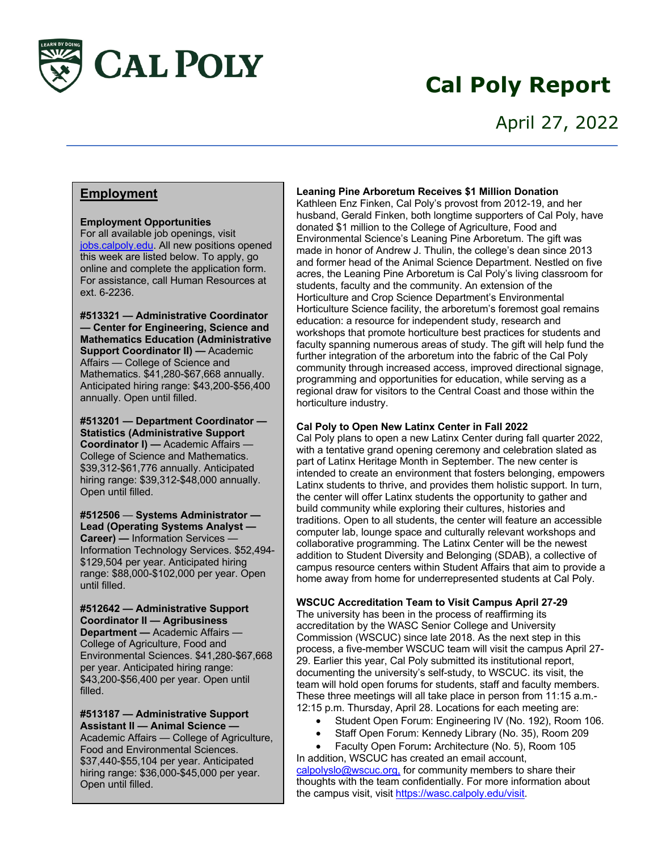

# **Cal Poly Report**

### **Employment**

### **Employment Opportunities**

For all available job openings, visit jobs.calpoly.edu. All new positions opened this week are listed below. To apply, go online and complete the application form. For assistance, call Human Resources at ext. 6-2236.

**#513321 — Administrative Coordinator — Center for Engineering, Science and Mathematics Education (Administrative Support Coordinator II) — Academic** Affairs — College of Science and Mathematics. \$41,280-\$67,668 annually. Anticipated hiring range: \$43,200-\$56,400 annually. Open until filled.

**#513201 — Department Coordinator — Statistics (Administrative Support Coordinator I) —** Academic Affairs — College of Science and Mathematics. \$39,312-\$61,776 annually. Anticipated hiring range: \$39,312-\$48,000 annually. Open until filled.

**#512506** — **Systems Administrator — Lead (Operating Systems Analyst — Career) —** Information Services — Information Technology Services. \$52,494- \$129,504 per year. Anticipated hiring range: \$88,000-\$102,000 per year. Open until filled.

**#512642 — Administrative Support Coordinator II — Agribusiness Department —** Academic Affairs — College of Agriculture, Food and Environmental Sciences. \$41,280-\$67,668 per year. Anticipated hiring range: \$43,200-\$56,400 per year. Open until filled.

**#513187 — Administrative Support Assistant II — Animal Science —** Academic Affairs — College of Agriculture, Food and Environmental Sciences. \$37,440-\$55,104 per year. Anticipated hiring range: \$36,000-\$45,000 per year. Open until filled.

#### **Leaning Pine Arboretum Receives \$1 Million Donation**

Kathleen Enz Finken, Cal Poly's provost from 2012-19, and her husband, Gerald Finken, both longtime supporters of Cal Poly, have donated \$1 million to the College of Agriculture, Food and Environmental Science's Leaning Pine Arboretum. The gift was made in honor of Andrew J. Thulin, the college's dean since 2013 and former head of the Animal Science Department. Nestled on five acres, the Leaning Pine Arboretum is Cal Poly's living classroom for students, faculty and the community. An extension of the Horticulture and Crop Science Department's Environmental Horticulture Science facility, the arboretum's foremost goal remains education: a resource for independent study, research and workshops that promote horticulture best practices for students and faculty spanning numerous areas of study. The gift will help fund the further integration of the arboretum into the fabric of the Cal Poly community through increased access, improved directional signage, programming and opportunities for education, while serving as a regional draw for visitors to the Central Coast and those within the horticulture industry.

#### **Cal Poly to Open New Latinx Center in Fall 2022**

Cal Poly plans to open a new Latinx Center during fall quarter 2022, with a tentative grand opening ceremony and celebration slated as part of Latinx Heritage Month in September. The new center is intended to create an environment that fosters belonging, empowers Latinx students to thrive, and provides them holistic support. In turn, the center will offer Latinx students the opportunity to gather and build community while exploring their cultures, histories and traditions. Open to all students, the center will feature an accessible computer lab, lounge space and culturally relevant workshops and collaborative programming. The Latinx Center will be the newest addition to Student Diversity and Belonging (SDAB), a collective of campus resource centers within Student Affairs that aim to provide a home away from home for underrepresented students at Cal Poly.

**WSCUC Accreditation Team to Visit Campus April 27-29**

The university has been in the process of reaffirming its accreditation by the WASC Senior College and University Commission (WSCUC) since late 2018. As the next step in this process, a five-member WSCUC team will visit the campus April 27- 29. Earlier this year, Cal Poly submitted its institutional report, documenting the university's self-study, to WSCUC. its visit, the team will hold open forums for students, staff and faculty members. These three meetings will all take place in person from 11:15 a.m.- 12:15 p.m. Thursday, April 28. Locations for each meeting are:

- Student Open Forum: Engineering IV (No. 192), Room 106.
- Staff Open Forum: Kennedy Library (No. 35), Room 209
- Faculty Open Forum**:** Architecture (No. 5), Room 105

In addition, WSCUC has created an email account, calpolyslo@wscuc.org, for community members to share their thoughts with the team confidentially. For more information about the campus visit, visit https://wasc.calpoly.edu/visit.